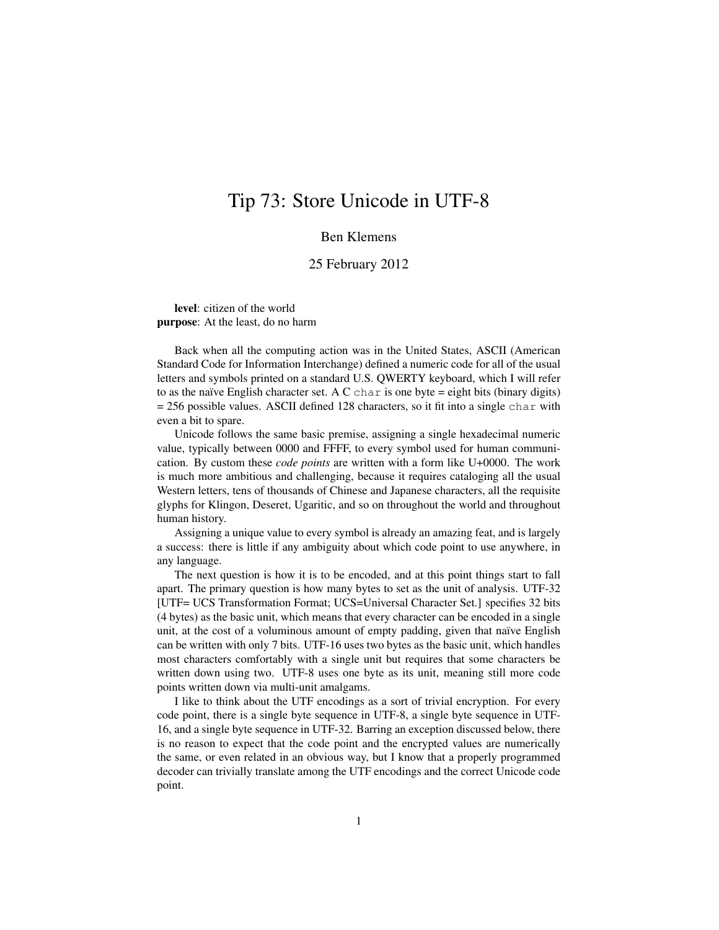## Tip 73: Store Unicode in UTF-8

## Ben Klemens

## 25 February 2012

level: citizen of the world purpose: At the least, do no harm

Back when all the computing action was in the United States, ASCII (American Standard Code for Information Interchange) defined a numeric code for all of the usual letters and symbols printed on a standard U.S. QWERTY keyboard, which I will refer to as the naïve English character set. A C char is one byte = eight bits (binary digits)  $= 256$  possible values. ASCII defined 128 characters, so it fit into a single char with even a bit to spare.

Unicode follows the same basic premise, assigning a single hexadecimal numeric value, typically between 0000 and FFFF, to every symbol used for human communication. By custom these *code points* are written with a form like U+0000. The work is much more ambitious and challenging, because it requires cataloging all the usual Western letters, tens of thousands of Chinese and Japanese characters, all the requisite glyphs for Klingon, Deseret, Ugaritic, and so on throughout the world and throughout human history.

Assigning a unique value to every symbol is already an amazing feat, and is largely a success: there is little if any ambiguity about which code point to use anywhere, in any language.

The next question is how it is to be encoded, and at this point things start to fall apart. The primary question is how many bytes to set as the unit of analysis. UTF-32 [UTF= UCS Transformation Format; UCS=Universal Character Set.] specifies 32 bits (4 bytes) as the basic unit, which means that every character can be encoded in a single unit, at the cost of a voluminous amount of empty padding, given that naïve English can be written with only 7 bits. UTF-16 uses two bytes as the basic unit, which handles most characters comfortably with a single unit but requires that some characters be written down using two. UTF-8 uses one byte as its unit, meaning still more code points written down via multi-unit amalgams.

I like to think about the UTF encodings as a sort of trivial encryption. For every code point, there is a single byte sequence in UTF-8, a single byte sequence in UTF-16, and a single byte sequence in UTF-32. Barring an exception discussed below, there is no reason to expect that the code point and the encrypted values are numerically the same, or even related in an obvious way, but I know that a properly programmed decoder can trivially translate among the UTF encodings and the correct Unicode code point.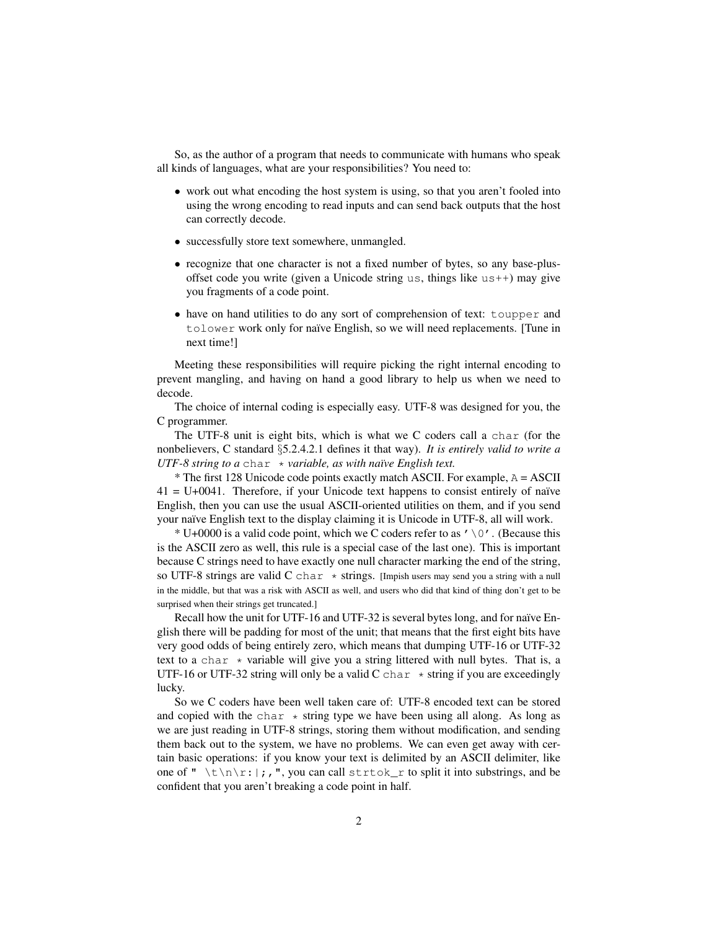So, as the author of a program that needs to communicate with humans who speak all kinds of languages, what are your responsibilities? You need to:

- work out what encoding the host system is using, so that you aren't fooled into using the wrong encoding to read inputs and can send back outputs that the host can correctly decode.
- successfully store text somewhere, unmangled.
- recognize that one character is not a fixed number of bytes, so any base-plusoffset code you write (given a Unicode string us, things like us++) may give you fragments of a code point.
- have on hand utilities to do any sort of comprehension of text: toupper and tolower work only for naïve English, so we will need replacements. [Tune in next time!]

Meeting these responsibilities will require picking the right internal encoding to prevent mangling, and having on hand a good library to help us when we need to decode.

The choice of internal coding is especially easy. UTF-8 was designed for you, the C programmer.

The UTF-8 unit is eight bits, which is what we C coders call a char (for the nonbelievers, C standard §5.2.4.2.1 defines it that way). *It is entirely valid to write a UTF-8 string to a* char ∗ *variable, as with naïve English text.* 

 $*$  The first 128 Unicode code points exactly match ASCII. For example,  $A = ASCII$  $41 = U + 0041$ . Therefore, if your Unicode text happens to consist entirely of naïve English, then you can use the usual ASCII-oriented utilities on them, and if you send your naïve English text to the display claiming it is Unicode in UTF-8, all will work.

 $* U+0000$  is a valid code point, which we C coders refer to as ' $\setminus 0'$ . (Because this is the ASCII zero as well, this rule is a special case of the last one). This is important because C strings need to have exactly one null character marking the end of the string, so UTF-8 strings are valid C char  $*$  strings. [Impish users may send you a string with a null in the middle, but that was a risk with ASCII as well, and users who did that kind of thing don't get to be surprised when their strings get truncated.]

Recall how the unit for UTF-16 and UTF-32 is several bytes long, and for naïve English there will be padding for most of the unit; that means that the first eight bits have very good odds of being entirely zero, which means that dumping UTF-16 or UTF-32 text to a char  $\star$  variable will give you a string littered with null bytes. That is, a UTF-16 or UTF-32 string will only be a valid C char  $*$  string if you are exceedingly lucky.

So we C coders have been well taken care of: UTF-8 encoded text can be stored and copied with the char  $\star$  string type we have been using all along. As long as we are just reading in UTF-8 strings, storing them without modification, and sending them back out to the system, we have no problems. We can even get away with certain basic operations: if you know your text is delimited by an ASCII delimiter, like one of "  $\frac{\tanh x}{\tanh x}$ , ", you can call strtok\_r to split it into substrings, and be confident that you aren't breaking a code point in half.